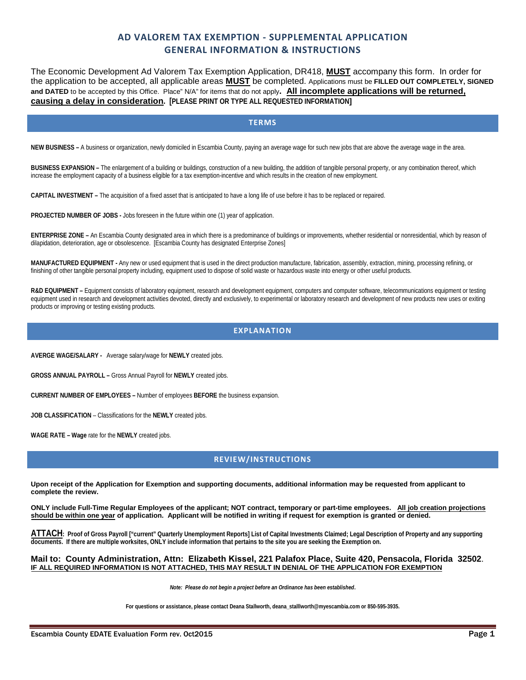# **AD VALOREM TAX EXEMPTION - SUPPLEMENTAL APPLICATION GENERAL INFORMATION & INSTRUCTIONS**

 The Economic Development Ad Valorem Tax Exemption Application, DR418, **MUST** accompany this form. In order for **and DATED** to be accepted by this Office. Place" N/A" for items that do not apply**. All incomplete applications will be returned,**  the application to be accepted, all applicable areas **MUST** be completed. Applications must be **FILLED OUT COMPLETELY, SIGNED causing a delay in consideration. [PLEASE PRINT OR TYPE ALL REQUESTED INFORMATION]** 

### **TERMS**

**NEW BUSINESS –** A business or organization, newly domiciled in Escambia County, paying an average wage for such new jobs that are above the average wage in the area.

**BUSINESS EXPANSION –** The enlargement of a building or buildings, construction of a new building, the addition of tangible personal property, or any combination thereof, which increase the employment capacity of a business eligible for a tax exemption-incentive and which results in the creation of new employment.

**CAPITAL INVESTMENT –** The acquisition of a fixed asset that is anticipated to have a long life of use before it has to be replaced or repaired.

**PROJECTED NUMBER OF JOBS -** Jobs foreseen in the future within one (1) year of application.

 dilapidation, deterioration, age or obsolescence. [Escambia County has designated Enterprise Zones] **ENTERPRISE ZONE –** An Escambia County designated area in which there is a predominance of buildings or improvements, whether residential or nonresidential, which by reason of

**MANUFACTURED EQUIPMENT -** Any new or used equipment that is used in the direct production manufacture, fabrication, assembly, extraction, mining, processing refining, or finishing of other tangible personal property including, equipment used to dispose of solid waste or hazardous waste into energy or other useful products.

R&D EQUIPMENT – Equipment consists of laboratory equipment, research and development equipment, computers and computer software, telecommunications equipment or testing equipment used in research and development activities devoted, directly and exclusively, to experimental or laboratory research and development of new products new uses or exiting products or improving or testing existing products.

## **EXPLANATION**

 **AVERGE WAGE/SALARY -** Average salary/wage for **NEWLY** created jobs.

**GROSS ANNUAL PAYROLL –** Gross Annual Payroll for **NEWLY** created jobs.

**CURRENT NUMBER OF EMPLOYEES –** Number of employees **BEFORE** the business expansion.

**JOB CLASSIFICATION** – Classifications for the **NEWLY** created jobs.

 **WAGE RATE – Wage** rate for the **NEWLY** created jobs.

## **REVIEW/INSTRUCTIONS**

**Upon receipt of the Application for Exemption and supporting documents, additional information may be requested from applicant to complete the review.** 

 **should be within one year of application. Applicant will be notified in writing if request for exemption is granted or denied. ONLY include Full-Time Regular Employees of the applicant; NOT contract, temporary or part-time employees. All job creation projections** 

 **documents. If there are multiple worksites, ONLY include information that pertains to the site you are seeking the Exemption on. ATTACH: Proof of Gross Payroll ["current" Quarterly Unemployment Reports] List of Capital Investments Claimed; Legal Description of Property and any supporting** 

#### **IF ALL REQUIRED INFORMATION IS NOT ATTACHED, THIS MAY RESULT IN DENIAL OF THE APPLICATION FOR EXEMPTION Mail to: County Administration, Attn: Elizabeth Kissel, 221 Palafox Place, Suite 420, Pensacola, Florida 32502**.

 *Note: Please do not begin a project before an Ordinance has been established***.** 

 **For questions or assistance, please contact Deana Stallworth, [deana\\_stalllworth@myescambia.com](mailto:deana_stalllworth@myescambia.com) or 850-595-3935.**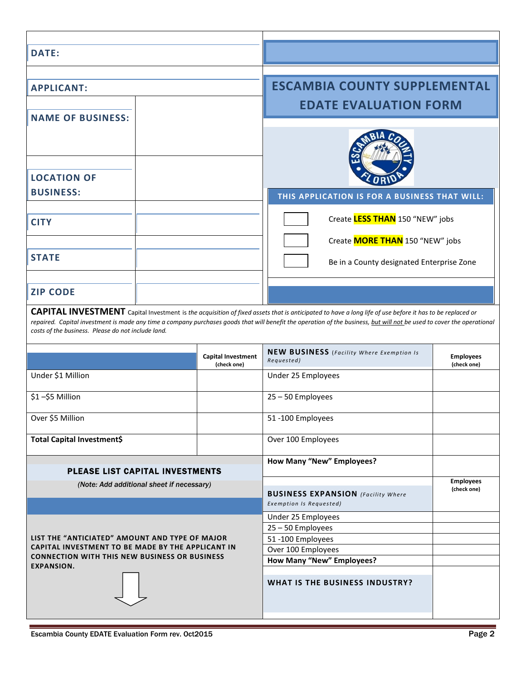| <b>DATE:</b>                                                                                                                                                                     |                                          |                                                                                                                                                                                                                                                                                                                                                                                       |                                 |  |
|----------------------------------------------------------------------------------------------------------------------------------------------------------------------------------|------------------------------------------|---------------------------------------------------------------------------------------------------------------------------------------------------------------------------------------------------------------------------------------------------------------------------------------------------------------------------------------------------------------------------------------|---------------------------------|--|
| <b>APPLICANT:</b>                                                                                                                                                                |                                          | <b>ESCAMBIA COUNTY SUPPLEMENTAL</b>                                                                                                                                                                                                                                                                                                                                                   |                                 |  |
| <b>NAME OF BUSINESS:</b>                                                                                                                                                         |                                          | <b>EDATE EVALUATION FORM</b>                                                                                                                                                                                                                                                                                                                                                          |                                 |  |
| <b>LOCATION OF</b><br><b>BUSINESS:</b>                                                                                                                                           |                                          |                                                                                                                                                                                                                                                                                                                                                                                       |                                 |  |
| <b>CITY</b>                                                                                                                                                                      |                                          | THIS APPLICATION IS FOR A BUSINESS THAT WILL:<br>Create <b>LESS THAN</b> 150 "NEW" jobs                                                                                                                                                                                                                                                                                               |                                 |  |
|                                                                                                                                                                                  |                                          | Create <b>MORE THAN</b> 150 "NEW" jobs                                                                                                                                                                                                                                                                                                                                                |                                 |  |
| <b>STATE</b>                                                                                                                                                                     |                                          | Be in a County designated Enterprise Zone                                                                                                                                                                                                                                                                                                                                             |                                 |  |
| <b>ZIP CODE</b>                                                                                                                                                                  |                                          |                                                                                                                                                                                                                                                                                                                                                                                       |                                 |  |
| costs of the business. Please do not include land.                                                                                                                               |                                          | CAPITAL INVESTMENT Capital Investment is the acquisition of fixed assets that is anticipated to have a long life of use before it has to be replaced or<br>repaired. Capital investment is made any time a company purchases goods that will benefit the operation of the business, but will not be used to cover the operational<br><b>NEW BUSINESS</b> (Facility Where Exemption Is |                                 |  |
|                                                                                                                                                                                  | <b>Capital Investment</b><br>(check one) | Requested)                                                                                                                                                                                                                                                                                                                                                                            | <b>Employees</b><br>(check one) |  |
| Under \$1 Million                                                                                                                                                                |                                          | Under 25 Employees                                                                                                                                                                                                                                                                                                                                                                    |                                 |  |
| \$1-\$5 Million                                                                                                                                                                  |                                          | 25-50 Employees                                                                                                                                                                                                                                                                                                                                                                       |                                 |  |
| Over \$5 Million                                                                                                                                                                 |                                          | 51-100 Employees                                                                                                                                                                                                                                                                                                                                                                      |                                 |  |
| Total Capital Investment\$                                                                                                                                                       |                                          | Over 100 Employees                                                                                                                                                                                                                                                                                                                                                                    |                                 |  |
| PLEASE LIST CAPITAL INVESTMENTS                                                                                                                                                  |                                          | <b>How Many "New" Employees?</b>                                                                                                                                                                                                                                                                                                                                                      |                                 |  |
| (Note: Add additional sheet if necessary)                                                                                                                                        |                                          | <b>Employees</b><br>(check one)<br><b>BUSINESS EXPANSION</b> (Facility Where<br>Exemption Is Requested)                                                                                                                                                                                                                                                                               |                                 |  |
| LIST THE "ANTICIATED" AMOUNT AND TYPE OF MAJOR<br>CAPITAL INVESTMENT TO BE MADE BY THE APPLICANT IN<br><b>CONNECTION WITH THIS NEW BUSINESS OR BUSINESS</b><br><b>EXPANSION.</b> |                                          | Under 25 Employees<br>25-50 Employees<br>51-100 Employees<br>Over 100 Employees<br>How Many "New" Employees?<br><b>WHAT IS THE BUSINESS INDUSTRY?</b>                                                                                                                                                                                                                                 |                                 |  |
|                                                                                                                                                                                  |                                          |                                                                                                                                                                                                                                                                                                                                                                                       |                                 |  |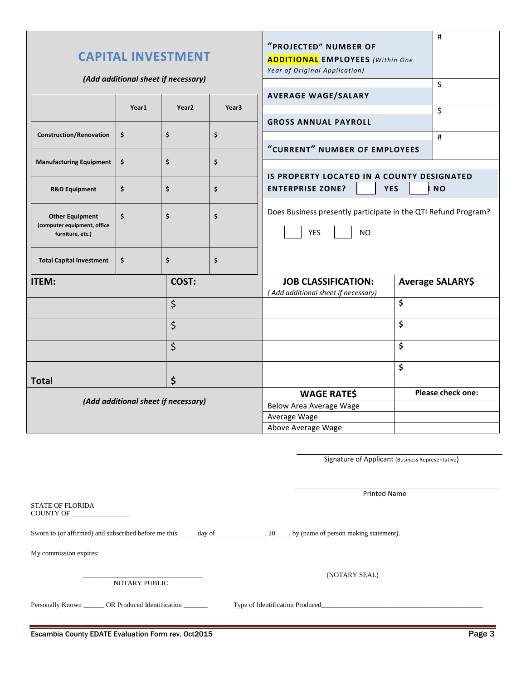|                                     |                                     |                               |                                         | "PROJECTED" NUMBER OF                                                                                                            |                                                  |    |                          |
|-------------------------------------|-------------------------------------|-------------------------------|-----------------------------------------|----------------------------------------------------------------------------------------------------------------------------------|--------------------------------------------------|----|--------------------------|
| <b>CAPITAL INVESTMENT</b>           |                                     |                               | <b>ADDITIONAL EMPLOYEES</b> (Within One |                                                                                                                                  |                                                  |    |                          |
|                                     |                                     | Year of Original Application) |                                         |                                                                                                                                  |                                                  |    |                          |
| (Add additional sheet if necessary) |                                     |                               |                                         | <b>AVERAGE WAGE/SALARY</b>                                                                                                       |                                                  | S  |                          |
|                                     | Year1                               | Year <sub>2</sub>             | Year <sub>3</sub>                       |                                                                                                                                  |                                                  |    | \$                       |
|                                     |                                     |                               |                                         | <b>GROSS ANNUAL PAYROLL</b>                                                                                                      |                                                  |    |                          |
| <b>Construction/Renovation</b>      | \$                                  | \$                            | \$                                      |                                                                                                                                  |                                                  |    | $\sharp$                 |
|                                     |                                     |                               |                                         | "CURRENT" NUMBER OF EMPLOYEES                                                                                                    |                                                  |    |                          |
| <b>Manufacturing Equipment</b>      | \$                                  | \$                            | \$                                      |                                                                                                                                  |                                                  |    |                          |
|                                     |                                     |                               |                                         | IS PROPERTY LOCATED IN A COUNTY DESIGNATED                                                                                       |                                                  |    |                          |
| <b>R&amp;D Equipment</b>            | \$                                  | \$                            | \$                                      | <b>ENTERPRISE ZONE?</b>                                                                                                          | <b>YES</b>                                       |    | <b>NO</b>                |
| <b>Other Equipment</b>              | \$                                  | \$                            | \$                                      | Does Business presently participate in the QTI Refund Program?                                                                   |                                                  |    |                          |
| (computer equipment, office         |                                     |                               |                                         |                                                                                                                                  |                                                  |    |                          |
| furniture, etc.)                    |                                     |                               |                                         | YES                                                                                                                              | <b>NO</b>                                        |    |                          |
|                                     |                                     |                               |                                         |                                                                                                                                  |                                                  |    |                          |
| <b>Total Capital Investment</b>     | \$                                  | \$                            | \$                                      |                                                                                                                                  |                                                  |    |                          |
| COST:<br><b>ITEM:</b>               |                                     | <b>JOB CLASSIFICATION:</b>    |                                         |                                                                                                                                  | Average SALARY\$                                 |    |                          |
|                                     |                                     |                               |                                         | (Add additional sheet if necessary)                                                                                              |                                                  |    |                          |
| \$                                  |                                     |                               |                                         |                                                                                                                                  | \$                                               |    |                          |
| \$                                  |                                     |                               |                                         | \$                                                                                                                               |                                                  |    |                          |
|                                     |                                     |                               |                                         |                                                                                                                                  |                                                  |    |                          |
| \$                                  |                                     |                               |                                         | \$                                                                                                                               |                                                  |    |                          |
|                                     |                                     |                               |                                         |                                                                                                                                  |                                                  | \$ |                          |
| <b>Total</b>                        |                                     | \$                            |                                         |                                                                                                                                  |                                                  |    |                          |
|                                     |                                     |                               |                                         | <b>WAGE RATES</b>                                                                                                                |                                                  |    | <b>Please check one:</b> |
|                                     | (Add additional sheet if necessary) |                               | Below Area Average Wage                 |                                                                                                                                  |                                                  |    |                          |
|                                     |                                     |                               |                                         | Average Wage                                                                                                                     |                                                  |    |                          |
|                                     |                                     |                               |                                         | Above Average Wage                                                                                                               |                                                  |    |                          |
|                                     |                                     |                               |                                         |                                                                                                                                  |                                                  |    |                          |
|                                     |                                     |                               |                                         |                                                                                                                                  | Signature of Applicant (Business Representative) |    |                          |
|                                     |                                     |                               |                                         |                                                                                                                                  |                                                  |    |                          |
|                                     |                                     |                               |                                         |                                                                                                                                  |                                                  |    |                          |
|                                     |                                     |                               | Printed Name                            |                                                                                                                                  |                                                  |    |                          |
| <b>STATE OF FLORIDA</b>             |                                     |                               |                                         |                                                                                                                                  |                                                  |    |                          |
|                                     |                                     |                               |                                         |                                                                                                                                  |                                                  |    |                          |
|                                     |                                     |                               |                                         | Sworn to (or affirmed) and subscribed before me this ______ day of ______________, 20____, by (name of person making statement). |                                                  |    |                          |
|                                     |                                     |                               |                                         |                                                                                                                                  |                                                  |    |                          |

NOTARY PUBLIC

\_\_\_\_\_\_\_\_\_\_\_\_\_\_\_\_\_\_\_\_\_\_\_\_\_\_\_\_\_\_\_\_\_\_\_ (NOTARY SEAL)

| Personally Known | OR Produced Identification |
|------------------|----------------------------|
|------------------|----------------------------|

Type of Identification Produced\_

#